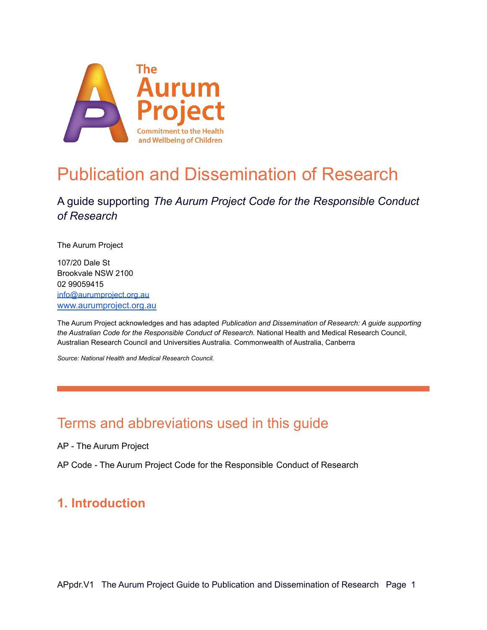

# Publication and Dissemination of Research

### A guide supporting *The Aurum Project Code for the Responsible Conduct of Research*

The Aurum Project

107/20 Dale St Brookvale NSW 2100 02 99059415 [info@aurumproject.org.au](mailto:info@aurumproject.org.au) [www.aurumproject.org.au](http://www.aurumproject.org.au)

The Aurum Project acknowledges and has adapted *Publication and Dissemination of Research: A guide supporting the Australian Code for the Responsible Conduct of Research.* National Health and Medical Research Council, Australian Research Council and Universities Australia. Commonwealth of Australia, Canberra

*Source: National Health and Medical Research Council.*

# Terms and abbreviations used in this guide

AP - The Aurum Project

AP Code - The Aurum Project Code for the Responsible Conduct of Research

### **1. Introduction**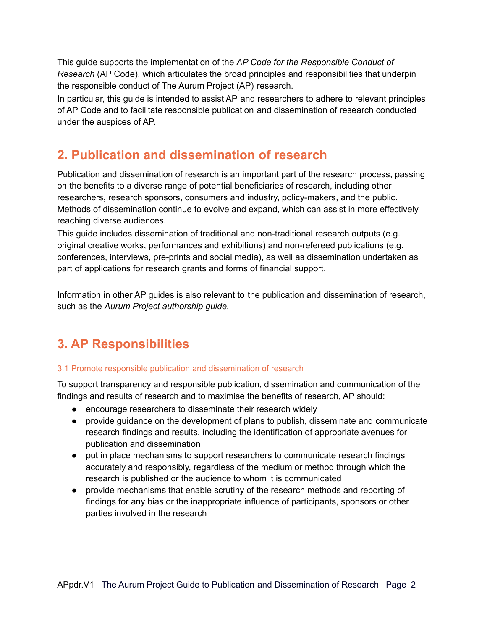This guide supports the implementation of the *AP Code for the Responsible Conduct of Research* (AP Code), which articulates the broad principles and responsibilities that underpin the responsible conduct of The Aurum Project (AP) research.

In particular, this guide is intended to assist AP and researchers to adhere to relevant principles of AP Code and to facilitate responsible publication and dissemination of research conducted under the auspices of AP.

### **2. Publication and dissemination of research**

Publication and dissemination of research is an important part of the research process, passing on the benefits to a diverse range of potential beneficiaries of research, including other researchers, research sponsors, consumers and industry, policy-makers, and the public. Methods of dissemination continue to evolve and expand, which can assist in more effectively reaching diverse audiences.

This guide includes dissemination of traditional and non-traditional research outputs (e.g. original creative works, performances and exhibitions) and non-refereed publications (e.g. conferences, interviews, pre-prints and social media), as well as dissemination undertaken as part of applications for research grants and forms of financial support.

Information in other AP guides is also relevant to the publication and dissemination of research, such as the *Aurum Project authorship guide.*

# **3. AP Responsibilities**

#### 3.1 Promote responsible publication and dissemination of research

To support transparency and responsible publication, dissemination and communication of the findings and results of research and to maximise the benefits of research, AP should:

- encourage researchers to disseminate their research widely
- provide guidance on the development of plans to publish, disseminate and communicate research findings and results, including the identification of appropriate avenues for publication and dissemination
- put in place mechanisms to support researchers to communicate research findings accurately and responsibly, regardless of the medium or method through which the research is published or the audience to whom it is communicated
- provide mechanisms that enable scrutiny of the research methods and reporting of findings for any bias or the inappropriate influence of participants, sponsors or other parties involved in the research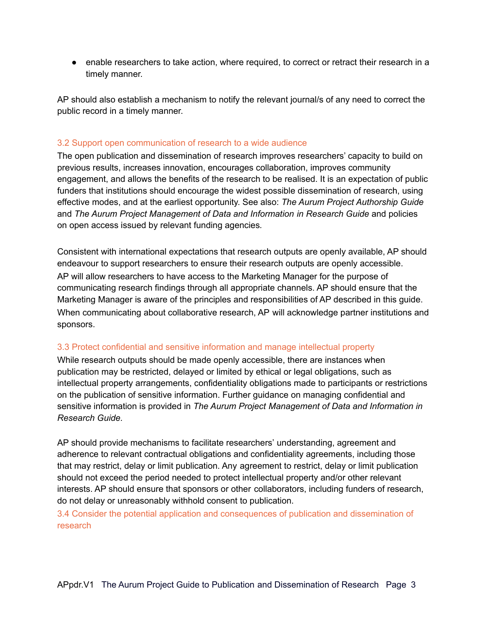• enable researchers to take action, where required, to correct or retract their research in a timely manner.

AP should also establish a mechanism to notify the relevant journal/s of any need to correct the public record in a timely manner.

#### 3.2 Support open communication of research to a wide audience

The open publication and dissemination of research improves researchers' capacity to build on previous results, increases innovation, encourages collaboration, improves community engagement, and allows the benefits of the research to be realised. It is an expectation of public funders that institutions should encourage the widest possible dissemination of research, using effective modes, and at the earliest opportunity. See also: *The Aurum Project Authorship Guide* and *The Aurum Project Management of Data and Information in Research Guide* and policies on open access issued by relevant funding agencies*.*

Consistent with international expectations that research outputs are openly available, AP should endeavour to support researchers to ensure their research outputs are openly accessible. AP will allow researchers to have access to the Marketing Manager for the purpose of communicating research findings through all appropriate channels. AP should ensure that the Marketing Manager is aware of the principles and responsibilities of AP described in this guide. When communicating about collaborative research, AP will acknowledge partner institutions and sponsors.

#### 3.3 Protect confidential and sensitive information and manage intellectual property

While research outputs should be made openly accessible, there are instances when publication may be restricted, delayed or limited by ethical or legal obligations, such as intellectual property arrangements, confidentiality obligations made to participants or restrictions on the publication of sensitive information. Further guidance on managing confidential and sensitive information is provided in *The Aurum Project Management of Data and Information in Research Guide.*

AP should provide mechanisms to facilitate researchers' understanding, agreement and adherence to relevant contractual obligations and confidentiality agreements, including those that may restrict, delay or limit publication. Any agreement to restrict, delay or limit publication should not exceed the period needed to protect intellectual property and/or other relevant interests. AP should ensure that sponsors or other collaborators, including funders of research, do not delay or unreasonably withhold consent to publication.

3.4 Consider the potential application and consequences of publication and dissemination of research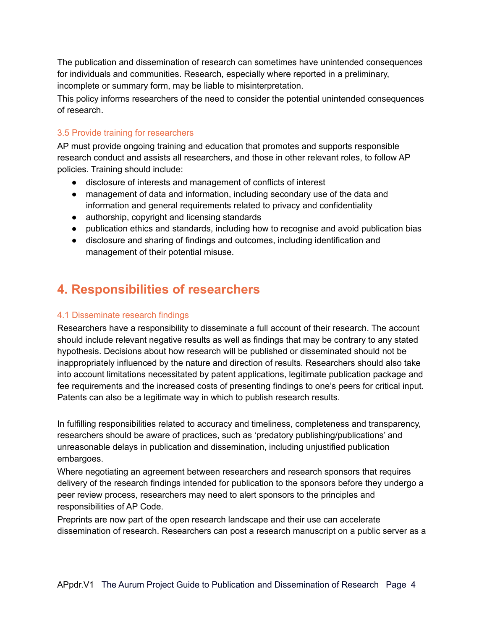The publication and dissemination of research can sometimes have unintended consequences for individuals and communities. Research, especially where reported in a preliminary, incomplete or summary form, may be liable to misinterpretation.

This policy informs researchers of the need to consider the potential unintended consequences of research.

#### 3.5 Provide training for researchers

AP must provide ongoing training and education that promotes and supports responsible research conduct and assists all researchers, and those in other relevant roles, to follow AP policies. Training should include:

- disclosure of interests and management of conflicts of interest
- management of data and information, including secondary use of the data and information and general requirements related to privacy and confidentiality
- authorship, copyright and licensing standards
- publication ethics and standards, including how to recognise and avoid publication bias
- disclosure and sharing of findings and outcomes, including identification and management of their potential misuse.

## **4. Responsibilities of researchers**

#### 4.1 Disseminate research findings

Researchers have a responsibility to disseminate a full account of their research. The account should include relevant negative results as well as findings that may be contrary to any stated hypothesis. Decisions about how research will be published or disseminated should not be inappropriately influenced by the nature and direction of results. Researchers should also take into account limitations necessitated by patent applications, legitimate publication package and fee requirements and the increased costs of presenting findings to one's peers for critical input. Patents can also be a legitimate way in which to publish research results.

In fulfilling responsibilities related to accuracy and timeliness, completeness and transparency, researchers should be aware of practices, such as 'predatory publishing/publications' and unreasonable delays in publication and dissemination, including unjustified publication embargoes.

Where negotiating an agreement between researchers and research sponsors that requires delivery of the research findings intended for publication to the sponsors before they undergo a peer review process, researchers may need to alert sponsors to the principles and responsibilities of AP Code.

Preprints are now part of the open research landscape and their use can accelerate dissemination of research. Researchers can post a research manuscript on a public server as a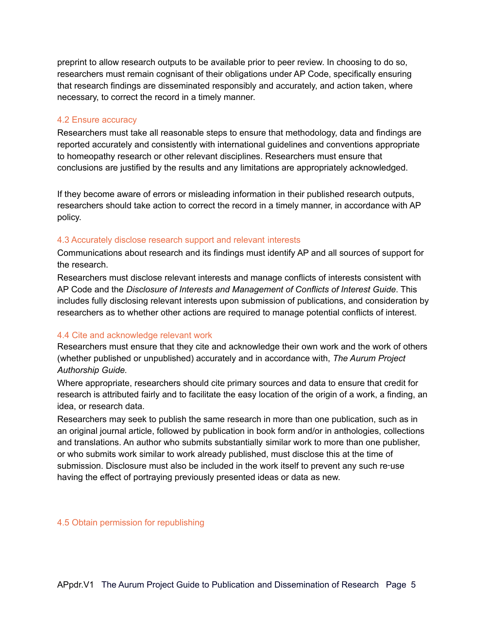preprint to allow research outputs to be available prior to peer review. In choosing to do so, researchers must remain cognisant of their obligations under AP Code, specifically ensuring that research findings are disseminated responsibly and accurately, and action taken, where necessary, to correct the record in a timely manner.

#### 4.2 Ensure accuracy

Researchers must take all reasonable steps to ensure that methodology, data and findings are reported accurately and consistently with international guidelines and conventions appropriate to homeopathy research or other relevant disciplines. Researchers must ensure that conclusions are justified by the results and any limitations are appropriately acknowledged.

If they become aware of errors or misleading information in their published research outputs, researchers should take action to correct the record in a timely manner, in accordance with AP policy.

#### 4.3 Accurately disclose research support and relevant interests

Communications about research and its findings must identify AP and all sources of support for the research.

Researchers must disclose relevant interests and manage conflicts of interests consistent with AP Code and the *Disclosure of Interests and Management of Conflicts of Interest Guide*. This includes fully disclosing relevant interests upon submission of publications, and consideration by researchers as to whether other actions are required to manage potential conflicts of interest.

#### 4.4 Cite and acknowledge relevant work

Researchers must ensure that they cite and acknowledge their own work and the work of others (whether published or unpublished) accurately and in accordance with, *The Aurum Project Authorship Guide.*

Where appropriate, researchers should cite primary sources and data to ensure that credit for research is attributed fairly and to facilitate the easy location of the origin of a work, a finding, an idea, or research data.

Researchers may seek to publish the same research in more than one publication, such as in an original journal article, followed by publication in book form and/or in anthologies, collections and translations. An author who submits substantially similar work to more than one publisher, or who submits work similar to work already published, must disclose this at the time of submission. Disclosure must also be included in the work itself to prevent any such re‑use having the effect of portraying previously presented ideas or data as new.

4.5 Obtain permission for republishing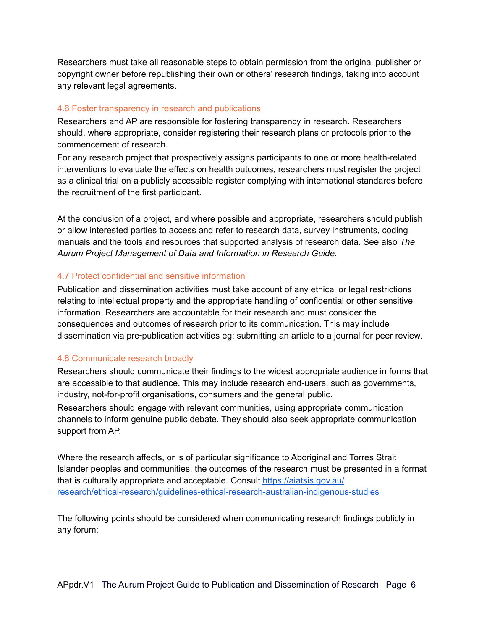Researchers must take all reasonable steps to obtain permission from the original publisher or copyright owner before republishing their own or others' research findings, taking into account any relevant legal agreements.

#### 4.6 Foster transparency in research and publications

Researchers and AP are responsible for fostering transparency in research. Researchers should, where appropriate, consider registering their research plans or protocols prior to the commencement of research.

For any research project that prospectively assigns participants to one or more health-related interventions to evaluate the effects on health outcomes, researchers must register the project as a clinical trial on a publicly accessible register complying with international standards before the recruitment of the first participant.

At the conclusion of a project, and where possible and appropriate, researchers should publish or allow interested parties to access and refer to research data, survey instruments, coding manuals and the tools and resources that supported analysis of research data. See also *The Aurum Project Management of Data and Information in Research Guide.*

#### 4.7 Protect confidential and sensitive information

Publication and dissemination activities must take account of any ethical or legal restrictions relating to intellectual property and the appropriate handling of confidential or other sensitive information. Researchers are accountable for their research and must consider the consequences and outcomes of research prior to its communication. This may include dissemination via pre‑publication activities eg: submitting an article to a journal for peer review.

#### 4.8 Communicate research broadly

Researchers should communicate their findings to the widest appropriate audience in forms that are accessible to that audience. This may include research end-users, such as governments, industry, not-for-profit organisations, consumers and the general public.

Researchers should engage with relevant communities, using appropriate communication channels to inform genuine public debate. They should also seek appropriate communication support from AP.

Where the research affects, or is of particular significance to Aboriginal and Torres Strait Islander peoples and communities, the outcomes of the research must be presented in a format that is culturally appropriate and acceptable. Consult <https://aiatsis.gov.au/> [research/ethical-research/guidelines-ethical-research-australian-indigenous-studies](https://aiatsis.gov.au/)

The following points should be considered when communicating research findings publicly in any forum: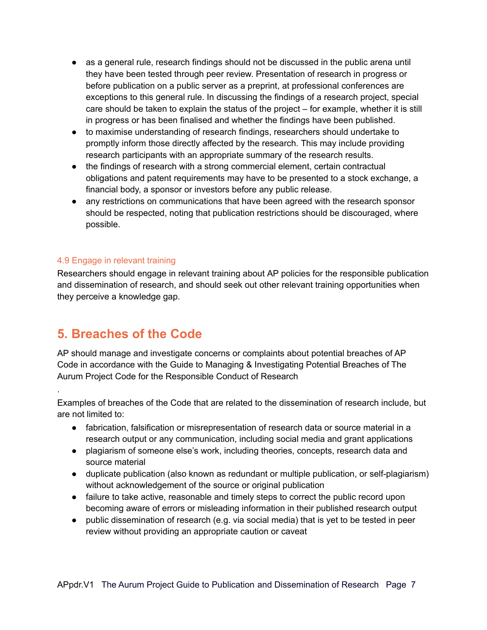- as a general rule, research findings should not be discussed in the public arena until they have been tested through peer review. Presentation of research in progress or before publication on a public server as a preprint, at professional conferences are exceptions to this general rule. In discussing the findings of a research project, special care should be taken to explain the status of the project – for example, whether it is still in progress or has been finalised and whether the findings have been published.
- to maximise understanding of research findings, researchers should undertake to promptly inform those directly affected by the research. This may include providing research participants with an appropriate summary of the research results.
- the findings of research with a strong commercial element, certain contractual obligations and patent requirements may have to be presented to a stock exchange, a financial body, a sponsor or investors before any public release.
- any restrictions on communications that have been agreed with the research sponsor should be respected, noting that publication restrictions should be discouraged, where possible.

#### 4.9 Engage in relevant training

Researchers should engage in relevant training about AP policies for the responsible publication and dissemination of research, and should seek out other relevant training opportunities when they perceive a knowledge gap.

### **5. Breaches of the Code**

.

AP should manage and investigate concerns or complaints about potential breaches of AP Code in accordance with the Guide to Managing & Investigating Potential Breaches of The Aurum Project Code for the Responsible Conduct of Research

Examples of breaches of the Code that are related to the dissemination of research include, but are not limited to:

- fabrication, falsification or misrepresentation of research data or source material in a research output or any communication, including social media and grant applications
- plagiarism of someone else's work, including theories, concepts, research data and source material
- duplicate publication (also known as redundant or multiple publication, or self-plagiarism) without acknowledgement of the source or original publication
- failure to take active, reasonable and timely steps to correct the public record upon becoming aware of errors or misleading information in their published research output
- public dissemination of research (e.g. via social media) that is yet to be tested in peer review without providing an appropriate caution or caveat